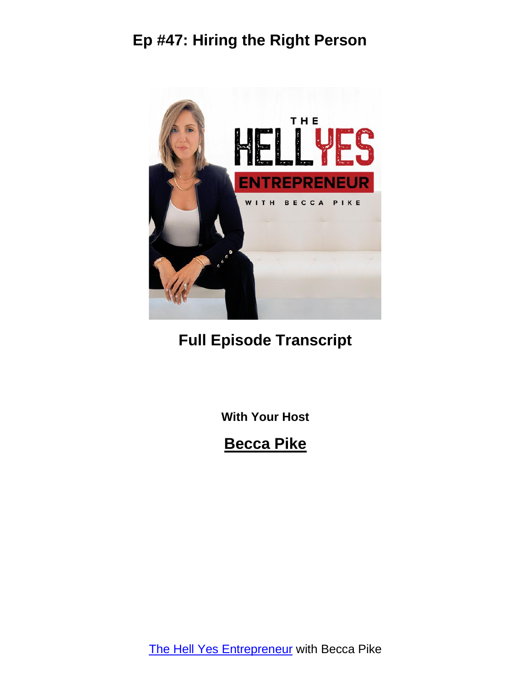

#### **Full Episode Transcript**

**With Your Host**

#### **Becca Pike**

The Hell Yes [Entrepreneur](https://www.hellyescoachingonline.com/) with Becca Pike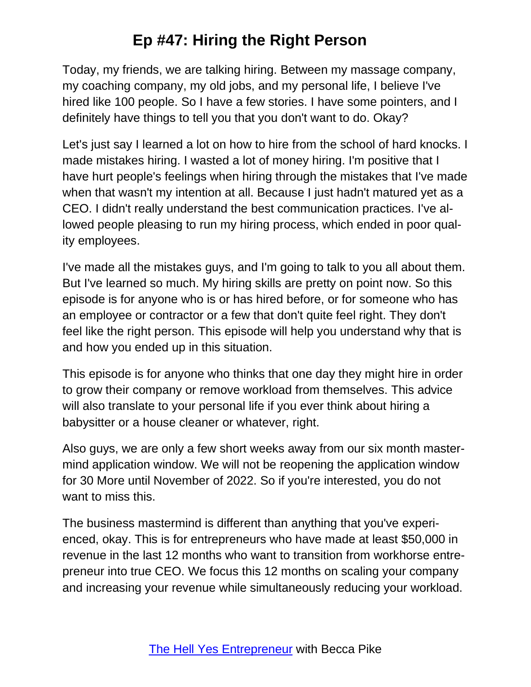Today, my friends, we are talking hiring. Between my massage company, my coaching company, my old jobs, and my personal life, I believe I've hired like 100 people. So I have a few stories. I have some pointers, and I definitely have things to tell you that you don't want to do. Okay?

Let's just say I learned a lot on how to hire from the school of hard knocks. I made mistakes hiring. I wasted a lot of money hiring. I'm positive that I have hurt people's feelings when hiring through the mistakes that I've made when that wasn't my intention at all. Because I just hadn't matured yet as a CEO. I didn't really understand the best communication practices. I've allowed people pleasing to run my hiring process, which ended in poor quality employees.

I've made all the mistakes guys, and I'm going to talk to you all about them. But I've learned so much. My hiring skills are pretty on point now. So this episode is for anyone who is or has hired before, or for someone who has an employee or contractor or a few that don't quite feel right. They don't feel like the right person. This episode will help you understand why that is and how you ended up in this situation.

This episode is for anyone who thinks that one day they might hire in order to grow their company or remove workload from themselves. This advice will also translate to your personal life if you ever think about hiring a babysitter or a house cleaner or whatever, right.

Also guys, we are only a few short weeks away from our six month mastermind application window. We will not be reopening the application window for 30 More until November of 2022. So if you're interested, you do not want to miss this.

The business mastermind is different than anything that you've experienced, okay. This is for entrepreneurs who have made at least \$50,000 in revenue in the last 12 months who want to transition from workhorse entrepreneur into true CEO. We focus this 12 months on scaling your company and increasing your revenue while simultaneously reducing your workload.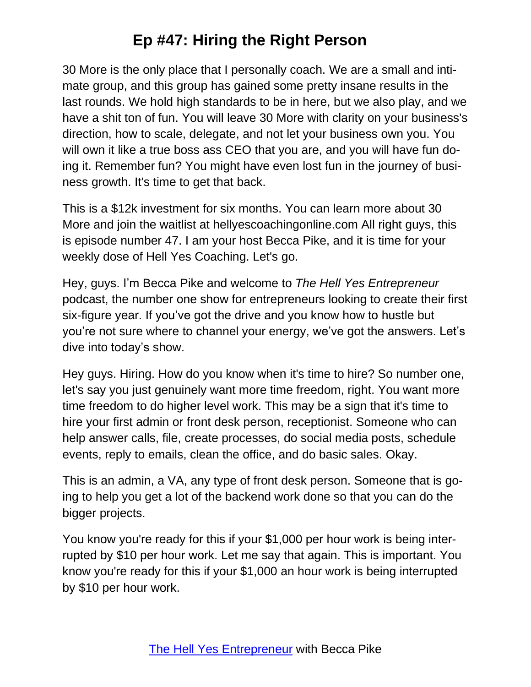30 More is the only place that I personally coach. We are a small and intimate group, and this group has gained some pretty insane results in the last rounds. We hold high standards to be in here, but we also play, and we have a shit ton of fun. You will leave 30 More with clarity on your business's direction, how to scale, delegate, and not let your business own you. You will own it like a true boss ass CEO that you are, and you will have fun doing it. Remember fun? You might have even lost fun in the journey of business growth. It's time to get that back.

This is a \$12k investment for six months. You can learn more about 30 More and join the waitlist at hellyescoachingonline.com All right guys, this is episode number 47. I am your host Becca Pike, and it is time for your weekly dose of Hell Yes Coaching. Let's go.

Hey, guys. I'm Becca Pike and welcome to *The Hell Yes Entrepreneur* podcast, the number one show for entrepreneurs looking to create their first six-figure year. If you've got the drive and you know how to hustle but you're not sure where to channel your energy, we've got the answers. Let's dive into today's show.

Hey guys. Hiring. How do you know when it's time to hire? So number one, let's say you just genuinely want more time freedom, right. You want more time freedom to do higher level work. This may be a sign that it's time to hire your first admin or front desk person, receptionist. Someone who can help answer calls, file, create processes, do social media posts, schedule events, reply to emails, clean the office, and do basic sales. Okay.

This is an admin, a VA, any type of front desk person. Someone that is going to help you get a lot of the backend work done so that you can do the bigger projects.

You know you're ready for this if your \$1,000 per hour work is being interrupted by \$10 per hour work. Let me say that again. This is important. You know you're ready for this if your \$1,000 an hour work is being interrupted by \$10 per hour work.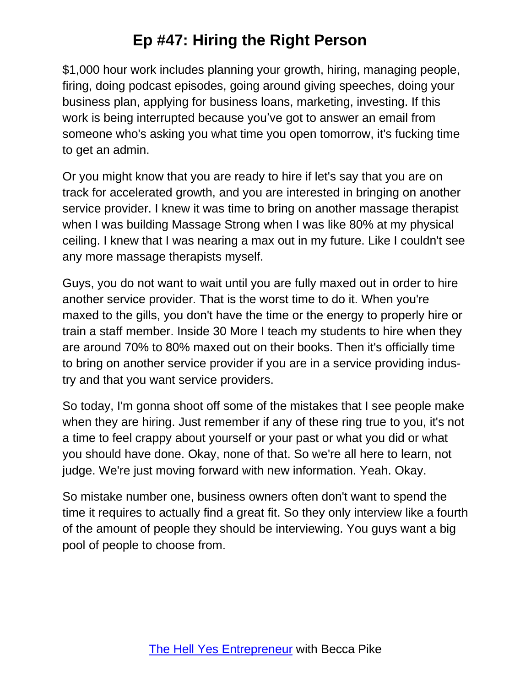\$1,000 hour work includes planning your growth, hiring, managing people, firing, doing podcast episodes, going around giving speeches, doing your business plan, applying for business loans, marketing, investing. If this work is being interrupted because you've got to answer an email from someone who's asking you what time you open tomorrow, it's fucking time to get an admin.

Or you might know that you are ready to hire if let's say that you are on track for accelerated growth, and you are interested in bringing on another service provider. I knew it was time to bring on another massage therapist when I was building Massage Strong when I was like 80% at my physical ceiling. I knew that I was nearing a max out in my future. Like I couldn't see any more massage therapists myself.

Guys, you do not want to wait until you are fully maxed out in order to hire another service provider. That is the worst time to do it. When you're maxed to the gills, you don't have the time or the energy to properly hire or train a staff member. Inside 30 More I teach my students to hire when they are around 70% to 80% maxed out on their books. Then it's officially time to bring on another service provider if you are in a service providing industry and that you want service providers.

So today, I'm gonna shoot off some of the mistakes that I see people make when they are hiring. Just remember if any of these ring true to you, it's not a time to feel crappy about yourself or your past or what you did or what you should have done. Okay, none of that. So we're all here to learn, not judge. We're just moving forward with new information. Yeah. Okay.

So mistake number one, business owners often don't want to spend the time it requires to actually find a great fit. So they only interview like a fourth of the amount of people they should be interviewing. You guys want a big pool of people to choose from.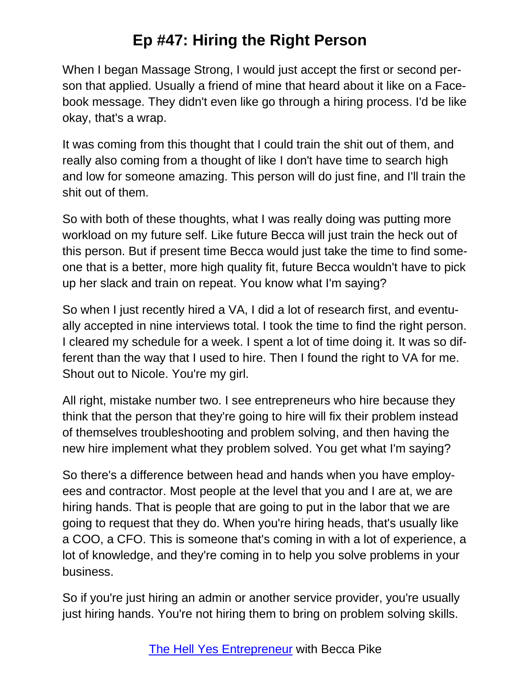When I began Massage Strong, I would just accept the first or second person that applied. Usually a friend of mine that heard about it like on a Facebook message. They didn't even like go through a hiring process. I'd be like okay, that's a wrap.

It was coming from this thought that I could train the shit out of them, and really also coming from a thought of like I don't have time to search high and low for someone amazing. This person will do just fine, and I'll train the shit out of them.

So with both of these thoughts, what I was really doing was putting more workload on my future self. Like future Becca will just train the heck out of this person. But if present time Becca would just take the time to find someone that is a better, more high quality fit, future Becca wouldn't have to pick up her slack and train on repeat. You know what I'm saying?

So when I just recently hired a VA, I did a lot of research first, and eventually accepted in nine interviews total. I took the time to find the right person. I cleared my schedule for a week. I spent a lot of time doing it. It was so different than the way that I used to hire. Then I found the right to VA for me. Shout out to Nicole. You're my girl.

All right, mistake number two. I see entrepreneurs who hire because they think that the person that they're going to hire will fix their problem instead of themselves troubleshooting and problem solving, and then having the new hire implement what they problem solved. You get what I'm saying?

So there's a difference between head and hands when you have employees and contractor. Most people at the level that you and I are at, we are hiring hands. That is people that are going to put in the labor that we are going to request that they do. When you're hiring heads, that's usually like a COO, a CFO. This is someone that's coming in with a lot of experience, a lot of knowledge, and they're coming in to help you solve problems in your business.

So if you're just hiring an admin or another service provider, you're usually just hiring hands. You're not hiring them to bring on problem solving skills.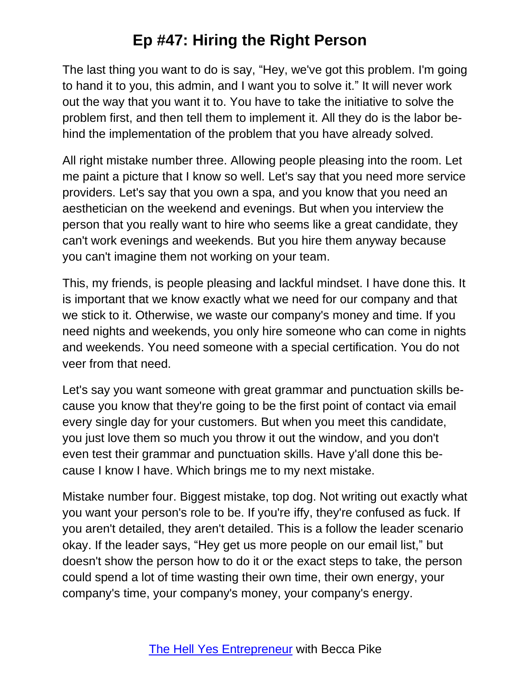The last thing you want to do is say, "Hey, we've got this problem. I'm going to hand it to you, this admin, and I want you to solve it." It will never work out the way that you want it to. You have to take the initiative to solve the problem first, and then tell them to implement it. All they do is the labor behind the implementation of the problem that you have already solved.

All right mistake number three. Allowing people pleasing into the room. Let me paint a picture that I know so well. Let's say that you need more service providers. Let's say that you own a spa, and you know that you need an aesthetician on the weekend and evenings. But when you interview the person that you really want to hire who seems like a great candidate, they can't work evenings and weekends. But you hire them anyway because you can't imagine them not working on your team.

This, my friends, is people pleasing and lackful mindset. I have done this. It is important that we know exactly what we need for our company and that we stick to it. Otherwise, we waste our company's money and time. If you need nights and weekends, you only hire someone who can come in nights and weekends. You need someone with a special certification. You do not veer from that need.

Let's say you want someone with great grammar and punctuation skills because you know that they're going to be the first point of contact via email every single day for your customers. But when you meet this candidate, you just love them so much you throw it out the window, and you don't even test their grammar and punctuation skills. Have y'all done this because I know I have. Which brings me to my next mistake.

Mistake number four. Biggest mistake, top dog. Not writing out exactly what you want your person's role to be. If you're iffy, they're confused as fuck. If you aren't detailed, they aren't detailed. This is a follow the leader scenario okay. If the leader says, "Hey get us more people on our email list," but doesn't show the person how to do it or the exact steps to take, the person could spend a lot of time wasting their own time, their own energy, your company's time, your company's money, your company's energy.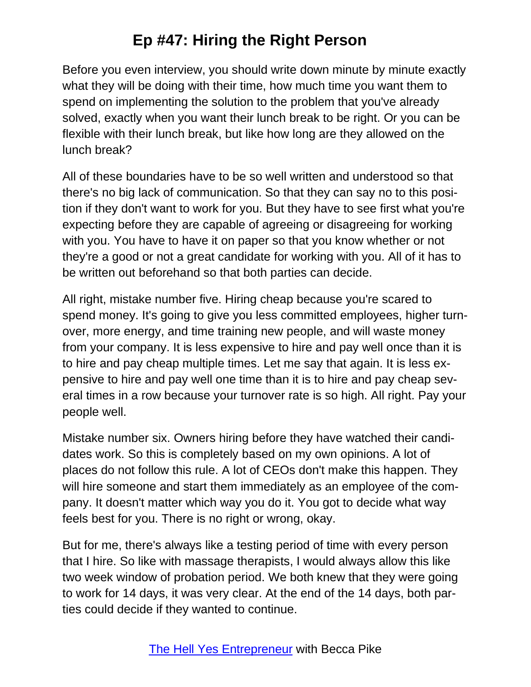Before you even interview, you should write down minute by minute exactly what they will be doing with their time, how much time you want them to spend on implementing the solution to the problem that you've already solved, exactly when you want their lunch break to be right. Or you can be flexible with their lunch break, but like how long are they allowed on the lunch break?

All of these boundaries have to be so well written and understood so that there's no big lack of communication. So that they can say no to this position if they don't want to work for you. But they have to see first what you're expecting before they are capable of agreeing or disagreeing for working with you. You have to have it on paper so that you know whether or not they're a good or not a great candidate for working with you. All of it has to be written out beforehand so that both parties can decide.

All right, mistake number five. Hiring cheap because you're scared to spend money. It's going to give you less committed employees, higher turnover, more energy, and time training new people, and will waste money from your company. It is less expensive to hire and pay well once than it is to hire and pay cheap multiple times. Let me say that again. It is less expensive to hire and pay well one time than it is to hire and pay cheap several times in a row because your turnover rate is so high. All right. Pay your people well.

Mistake number six. Owners hiring before they have watched their candidates work. So this is completely based on my own opinions. A lot of places do not follow this rule. A lot of CEOs don't make this happen. They will hire someone and start them immediately as an employee of the company. It doesn't matter which way you do it. You got to decide what way feels best for you. There is no right or wrong, okay.

But for me, there's always like a testing period of time with every person that I hire. So like with massage therapists, I would always allow this like two week window of probation period. We both knew that they were going to work for 14 days, it was very clear. At the end of the 14 days, both parties could decide if they wanted to continue.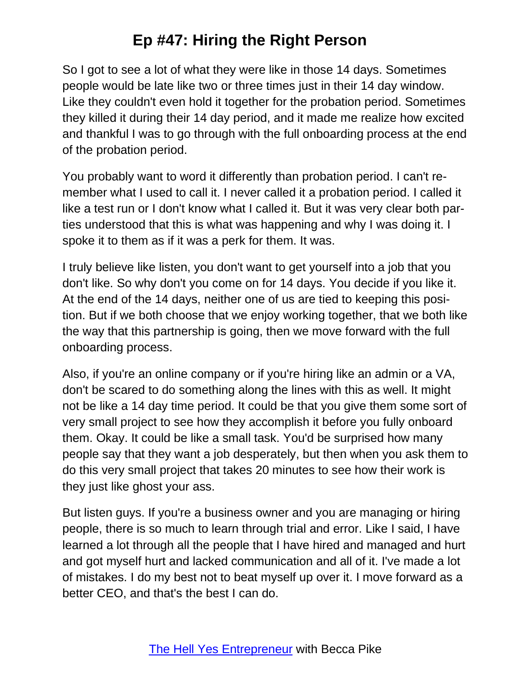So I got to see a lot of what they were like in those 14 days. Sometimes people would be late like two or three times just in their 14 day window. Like they couldn't even hold it together for the probation period. Sometimes they killed it during their 14 day period, and it made me realize how excited and thankful I was to go through with the full onboarding process at the end of the probation period.

You probably want to word it differently than probation period. I can't remember what I used to call it. I never called it a probation period. I called it like a test run or I don't know what I called it. But it was very clear both parties understood that this is what was happening and why I was doing it. I spoke it to them as if it was a perk for them. It was.

I truly believe like listen, you don't want to get yourself into a job that you don't like. So why don't you come on for 14 days. You decide if you like it. At the end of the 14 days, neither one of us are tied to keeping this position. But if we both choose that we enjoy working together, that we both like the way that this partnership is going, then we move forward with the full onboarding process.

Also, if you're an online company or if you're hiring like an admin or a VA, don't be scared to do something along the lines with this as well. It might not be like a 14 day time period. It could be that you give them some sort of very small project to see how they accomplish it before you fully onboard them. Okay. It could be like a small task. You'd be surprised how many people say that they want a job desperately, but then when you ask them to do this very small project that takes 20 minutes to see how their work is they just like ghost your ass.

But listen guys. If you're a business owner and you are managing or hiring people, there is so much to learn through trial and error. Like I said, I have learned a lot through all the people that I have hired and managed and hurt and got myself hurt and lacked communication and all of it. I've made a lot of mistakes. I do my best not to beat myself up over it. I move forward as a better CEO, and that's the best I can do.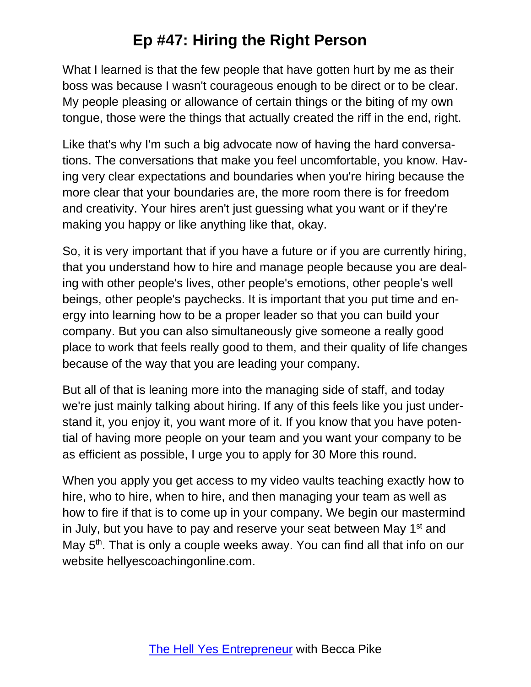What I learned is that the few people that have gotten hurt by me as their boss was because I wasn't courageous enough to be direct or to be clear. My people pleasing or allowance of certain things or the biting of my own tongue, those were the things that actually created the riff in the end, right.

Like that's why I'm such a big advocate now of having the hard conversations. The conversations that make you feel uncomfortable, you know. Having very clear expectations and boundaries when you're hiring because the more clear that your boundaries are, the more room there is for freedom and creativity. Your hires aren't just guessing what you want or if they're making you happy or like anything like that, okay.

So, it is very important that if you have a future or if you are currently hiring, that you understand how to hire and manage people because you are dealing with other people's lives, other people's emotions, other people's well beings, other people's paychecks. It is important that you put time and energy into learning how to be a proper leader so that you can build your company. But you can also simultaneously give someone a really good place to work that feels really good to them, and their quality of life changes because of the way that you are leading your company.

But all of that is leaning more into the managing side of staff, and today we're just mainly talking about hiring. If any of this feels like you just understand it, you enjoy it, you want more of it. If you know that you have potential of having more people on your team and you want your company to be as efficient as possible, I urge you to apply for 30 More this round.

When you apply you get access to my video vaults teaching exactly how to hire, who to hire, when to hire, and then managing your team as well as how to fire if that is to come up in your company. We begin our mastermind in July, but you have to pay and reserve your seat between May 1<sup>st</sup> and May 5<sup>th</sup>. That is only a couple weeks away. You can find all that info on our website hellyescoachingonline.com.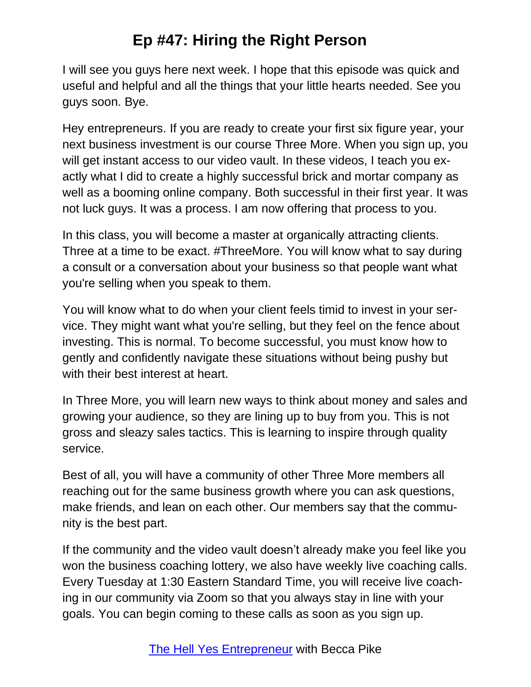I will see you guys here next week. I hope that this episode was quick and useful and helpful and all the things that your little hearts needed. See you guys soon. Bye.

Hey entrepreneurs. If you are ready to create your first six figure year, your next business investment is our course Three More. When you sign up, you will get instant access to our video vault. In these videos, I teach you exactly what I did to create a highly successful brick and mortar company as well as a booming online company. Both successful in their first year. It was not luck guys. It was a process. I am now offering that process to you.

In this class, you will become a master at organically attracting clients. Three at a time to be exact. #ThreeMore. You will know what to say during a consult or a conversation about your business so that people want what you're selling when you speak to them.

You will know what to do when your client feels timid to invest in your service. They might want what you're selling, but they feel on the fence about investing. This is normal. To become successful, you must know how to gently and confidently navigate these situations without being pushy but with their best interest at heart.

In Three More, you will learn new ways to think about money and sales and growing your audience, so they are lining up to buy from you. This is not gross and sleazy sales tactics. This is learning to inspire through quality service.

Best of all, you will have a community of other Three More members all reaching out for the same business growth where you can ask questions, make friends, and lean on each other. Our members say that the community is the best part.

If the community and the video vault doesn't already make you feel like you won the business coaching lottery, we also have weekly live coaching calls. Every Tuesday at 1:30 Eastern Standard Time, you will receive live coaching in our community via Zoom so that you always stay in line with your goals. You can begin coming to these calls as soon as you sign up.